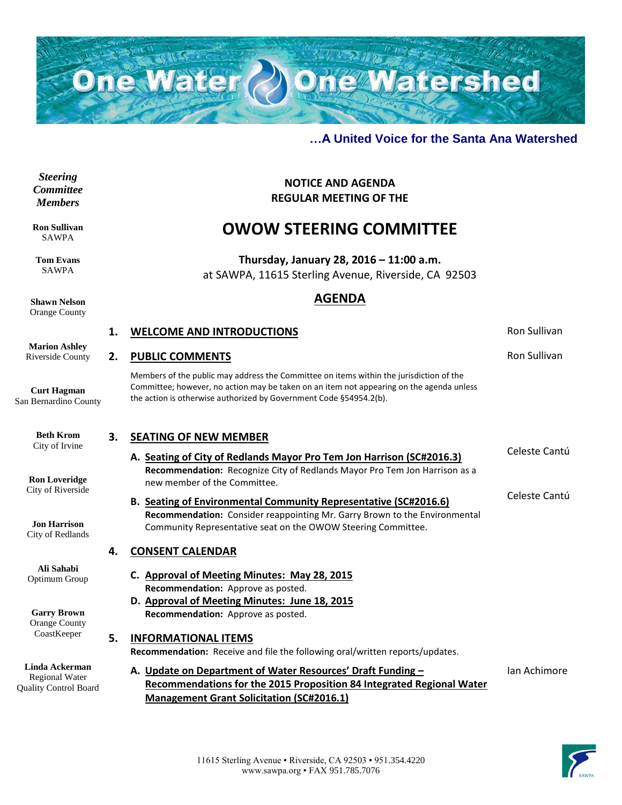

**NOTICE AND AGENDA REGULAR MEETING OF THE**

**OWOW STEERING COMMITTEE**

**Thursday, January 28, 2016 – 11:00 a.m.** at SAWPA, 11615 Sterling Avenue, Riverside, CA 92503

**AGENDA**

**1. WELCOME AND INTRODUCTIONS Ron Sullivan** 

#### **…A United Voice for the Santa Ana Watershed**

*Steering Committee Members*

**Ron Sullivan** SAWPA

**Tom Evans** SAWPA

**Shawn Nelson** Orange County

**Marion Ashley** Riverside County

**Curt Hagman** San Bernardino County

> **Beth Krom** City of Irvine

**Ron Loveridge** City of Riverside

# **2. PUBLIC COMMENTS Roman COMMENTS Roman COMMENTS Roman COMMENTS**

Members of the public may address the Committee on items within the jurisdiction of the Committee; however, no action may be taken on an item not appearing on the agenda unless the action is otherwise authorized by Government Code §54954.2(b).

### **3. SEATING OF NEW MEMBER**

**4. CONSENT CALENDAR**

- **A. Seating of City of Redlands Mayor Pro Tem Jon Harrison (SC#2016.3) Recommendation:** Recognize City of Redlands Mayor Pro Tem Jon Harrison as a new member of the Committee.
- **B. Seating of Environmental Community Representative (SC#2016.6) Recommendation:** Consider reappointing Mr. Garry Brown to the Environmental Community Representative seat on the OWOW Steering Committee.

Celeste Cantú

Celeste Cantú

**Jon Harrison** City of Redlands

**Ali Sahabi** Optimum Group

**Garry Brown** Orange County CoastKeeper

**Linda Ackerman** Regional Water Quality Control Board

## **C. Approval of Meeting Minutes: May 28, 2015 Recommendation:** Approve as posted. **D. Approval of Meeting Minutes: June 18, 2015 Recommendation:** Approve as posted. **5. INFORMATIONAL ITEMS Recommendation:** Receive and file the following oral/written reports/updates. **A. Update on Department of Water Resources' Draft Funding – Recommendations for the 2015 Proposition 84 Integrated Regional Water**

**Management Grant Solicitation (SC#2016.1)**

Ian Achimore